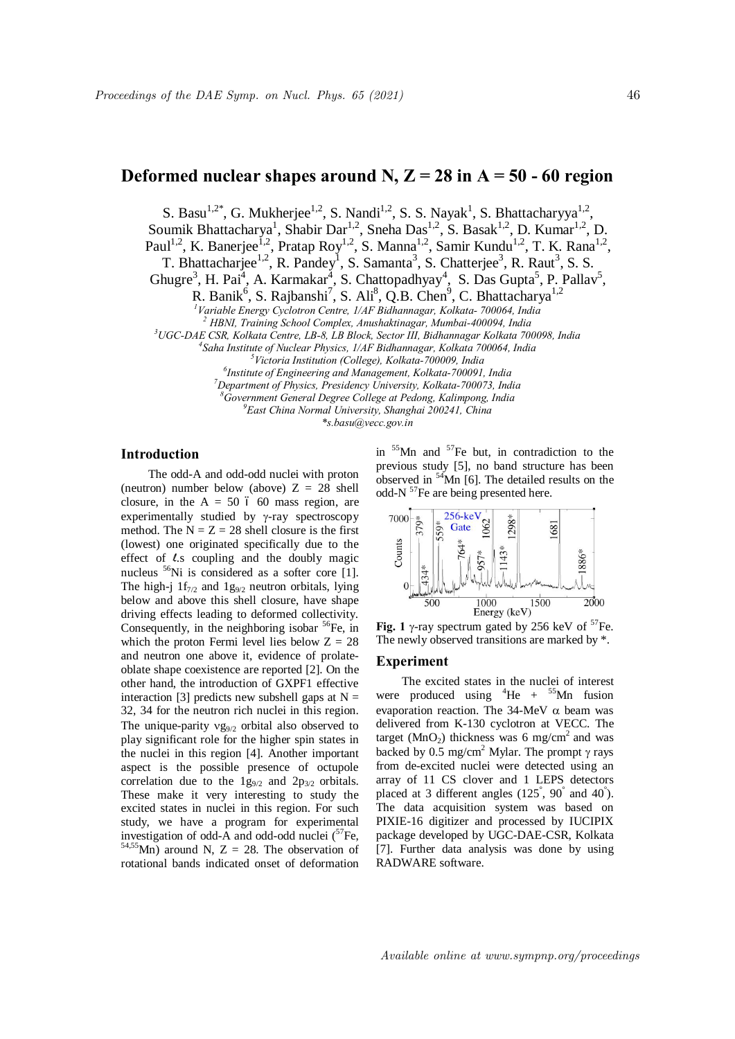# **Deformed nuclear shapes around N, Z = 28 in A = 50 - 60 region**

S. Basu<sup>1,2\*</sup>, G. Mukherjee<sup>1,2</sup>, S. Nandi<sup>1,2</sup>, S. S. Nayak<sup>1</sup>, S. Bhattacharyya<sup>1,2</sup>, Soumik Bhattacharya<sup>1</sup>, Shabir Dar<sup>1,2</sup>, Sneha Das<sup>1,2</sup>, S. Basak<sup>1,2</sup>, D. Kumar<sup>1,2</sup>, D.

Paul<sup>1,2</sup>, K. Banerjee<sup>1,2</sup>, Pratap Roy<sup>1,2</sup>, S. Manna<sup>1,2</sup>, Samir Kundu<sup>1,2</sup>, T. K. Rana<sup>1,2</sup>,

T. Bhattacharjee<sup>1,2</sup>, R. Pandey<sup>1</sup>, S. Samanta<sup>3</sup>, S. Chatterjee<sup>3</sup>, R. Raut<sup>3</sup>, S. S.

Ghugre<sup>3</sup>, H. Pai<sup>4</sup>, A. Karmakar<sup>4</sup>, S. Chattopadhyay<sup>4</sup>, S. Das Gupta<sup>5</sup>, P. Pallav<sup>5</sup>,

R. Banik<sup>6</sup>, S. Rajbanshi<sup>7</sup>, S. Ali<sup>8</sup>, Q.B. Chen<sup>9</sup>, C. Bhattacharya<sup>1,2</sup>

<sup>1</sup>Variable Energy Cyclotron Centre, 1/AF Bidhannagar, Kolkata- 700064, India

*Variable Energy Cyclotron Centre, 1/AF Bidhannagar, Kolkata- 700064, India <sup>2</sup> HBNI, Training School Complex, Anushaktinagar, Mumbai-400094, India <sup>3</sup>*

*UGC-DAE CSR, Kolkata Centre, LB-8, LB Block, Sector III, Bidhannagar Kolkata 700098, India <sup>4</sup>*

*Saha Institute of Nuclear Physics, 1/AF Bidhannagar, Kolkata 700064, India <sup>5</sup> Victoria Institution (College), Kolkata-700009, India <sup>6</sup>*

*Institute of Engineering and Management, Kolkata-700091, India <sup>7</sup> Department of Physics, Presidency University, Kolkata-700073, India <sup>8</sup> Government General Degree College at Pedong, Kalimpong, India <sup>9</sup>*

*East China Normal University, Shanghai 200241, China*

*\*s.basu@vecc.gov.in*

## **Introduction**

 The odd-A and odd-odd nuclei with proton (neutron) number below (above)  $Z = 28$  shell closure, in the  $A = 50$  6 60 mass region, are experimentally studied by  $\gamma$ -ray spectroscopy method. The  $N = Z = 28$  shell closure is the first (lowest) one originated specifically due to the effect of  $\ell$ .s coupling and the doubly magic nucleus <sup>56</sup>Ni is considered as a softer core [1]. The high-j  $1f_{7/2}$  and  $1g_{9/2}$  neutron orbitals, lying below and above this shell closure, have shape driving effects leading to deformed collectivity. Consequently, in the neighboring isobar  ${}^{56}Fe$ , in which the proton Fermi level lies below  $Z = 28$ and neutron one above it, evidence of prolateoblate shape coexistence are reported [2]. On the other hand, the introduction of GXPF1 effective interaction [3] predicts new subshell gaps at  $N =$ 32, 34 for the neutron rich nuclei in this region. The unique-parity  $vg_{9/2}$  orbital also observed to play significant role for the higher spin states in the nuclei in this region [4]. Another important aspect is the possible presence of octupole correlation due to the  $1g_{9/2}$  and  $2p_{3/2}$  orbitals. These make it very interesting to study the excited states in nuclei in this region. For such study, we have a program for experimental investigation of odd- $\overline{A}$  and odd-odd nuclei ( ${}^{57}Fe$ ,  $54,55$ Mn) around N, Z = 28. The observation of rotational bands indicated onset of deformation

in  $55$ Mn and  $57$ Fe but, in contradiction to the previous study [5], no band structure has been observed in  $54$ Mn [6]. The detailed results on the odd-N  ${}^{57}$ Fe are being presented here.



**Fig. 1**  $\gamma$ -ray spectrum gated by 256 keV of  ${}^{57}$ Fe. The newly observed transitions are marked by  $*$ .

#### **Experiment**

The excited states in the nuclei of interest were produced using  ${}^{4}$ He +  ${}^{55}$ Mn fusion evaporation reaction. The 34-MeV  $\alpha$  beam was delivered from K-130 cyclotron at VECC. The target ( $MnO<sub>2</sub>$ ) thickness was 6 mg/cm<sup>2</sup> and was backed by 0.5 mg/cm<sup>2</sup> Mylar. The prompt  $\gamma$  rays from de-excited nuclei were detected using an array of 11 CS clover and 1 LEPS detectors placed at 3 different angles (125<sup>°</sup>, 90<sup>°</sup> and 40<sup>°</sup>). The data acquisition system was based on PIXIE-16 digitizer and processed by IUCIPIX package developed by UGC-DAE-CSR, Kolkata [7]. Further data analysis was done by using RADWARE software.